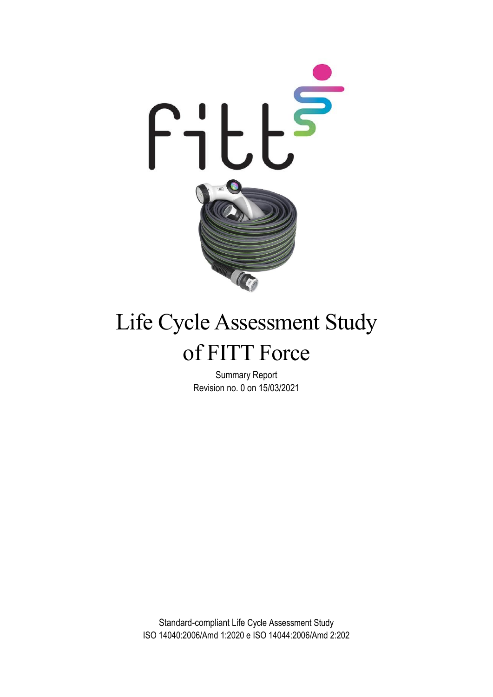

# Life Cycle Assessment Study of FITT Force

Summary Report Revision no. 0 on 15/03/2021

Standard-compliant Life Cycle Assessment Study ISO 14040:2006/Amd 1:2020 e ISO 14044:2006/Amd 2:202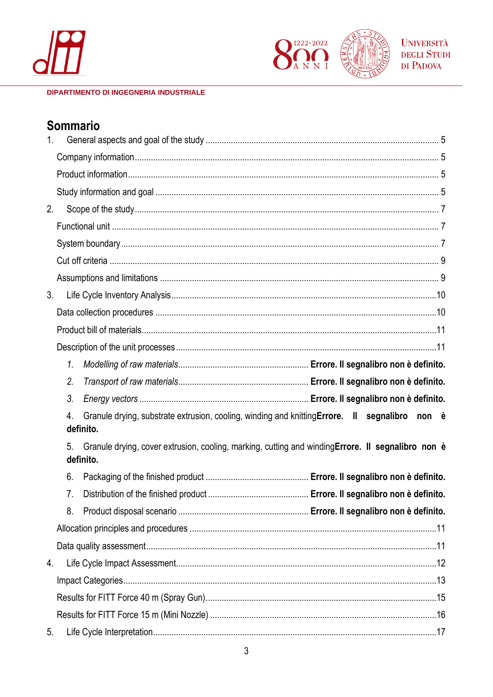



**UNIVERSITÀ DEGLI STUDI** DI PADOVA

#### **DIPARTIMENTO DI INGEGNERIA INDUSTRIALE**

# **Sommario**

| 1 <sub>1</sub> |                 |                                                                                                   |
|----------------|-----------------|---------------------------------------------------------------------------------------------------|
|                |                 |                                                                                                   |
|                |                 |                                                                                                   |
|                |                 |                                                                                                   |
| 2.             |                 |                                                                                                   |
|                |                 |                                                                                                   |
|                |                 |                                                                                                   |
|                |                 |                                                                                                   |
|                |                 |                                                                                                   |
| 3.             |                 |                                                                                                   |
|                |                 |                                                                                                   |
|                |                 |                                                                                                   |
|                |                 |                                                                                                   |
|                | 1.              |                                                                                                   |
|                | 2.              |                                                                                                   |
|                | 3.              |                                                                                                   |
|                | 4.<br>definito. | Granule drying, substrate extrusion, cooling, winding and knitting Errore. II segnalibro non è    |
|                | 5.<br>definito. | Granule drying, cover extrusion, cooling, marking, cutting and windingErrore. Il segnalibro non è |
|                | 6.              |                                                                                                   |
|                | 7.              |                                                                                                   |
|                | 8.              |                                                                                                   |
|                |                 |                                                                                                   |
|                |                 |                                                                                                   |
| 4.             |                 |                                                                                                   |
|                |                 |                                                                                                   |
|                |                 |                                                                                                   |
|                |                 |                                                                                                   |
| 5.             |                 |                                                                                                   |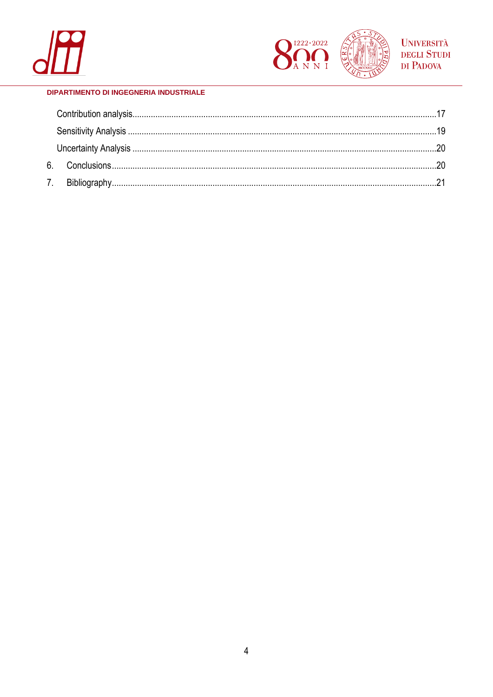

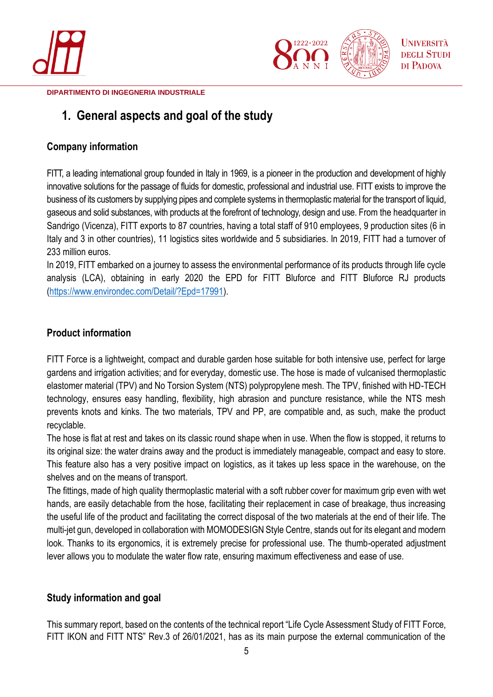



# <span id="page-4-0"></span>**1. General aspects and goal of the study**

## <span id="page-4-1"></span>**Company information**

FITT, a leading international group founded in Italy in 1969, is a pioneer in the production and development of highly innovative solutions for the passage of fluids for domestic, professional and industrial use. FITT exists to improve the business of its customers by supplying pipes and complete systems in thermoplastic material for the transport of liquid, gaseous and solid substances, with products at the forefront of technology, design and use. From the headquarter in Sandrigo (Vicenza), FITT exports to 87 countries, having a total staff of 910 employees, 9 production sites (6 in Italy and 3 in other countries), 11 logistics sites worldwide and 5 subsidiaries. In 2019, FITT had a turnover of 233 million euros.

In 2019, FITT embarked on a journey to assess the environmental performance of its products through life cycle analysis (LCA), obtaining in early 2020 the EPD for FITT Bluforce and FITT Bluforce RJ products [\(https://www.environdec.com/Detail/?Epd=17991\)](https://www.environdec.com/Detail/?Epd=17991).

## <span id="page-4-2"></span>**Product information**

FITT Force is a lightweight, compact and durable garden hose suitable for both intensive use, perfect for large gardens and irrigation activities; and for everyday, domestic use. The hose is made of vulcanised thermoplastic elastomer material (TPV) and No Torsion System (NTS) polypropylene mesh. The TPV, finished with HD-TECH technology, ensures easy handling, flexibility, high abrasion and puncture resistance, while the NTS mesh prevents knots and kinks. The two materials, TPV and PP, are compatible and, as such, make the product recyclable.

The hose is flat at rest and takes on its classic round shape when in use. When the flow is stopped, it returns to its original size: the water drains away and the product is immediately manageable, compact and easy to store. This feature also has a very positive impact on logistics, as it takes up less space in the warehouse, on the shelves and on the means of transport.

The fittings, made of high quality thermoplastic material with a soft rubber cover for maximum grip even with wet hands, are easily detachable from the hose, facilitating their replacement in case of breakage, thus increasing the useful life of the product and facilitating the correct disposal of the two materials at the end of their life. The multi-jet gun, developed in collaboration with MOMODESIGN Style Centre, stands out for its elegant and modern look. Thanks to its ergonomics, it is extremely precise for professional use. The thumb-operated adjustment lever allows you to modulate the water flow rate, ensuring maximum effectiveness and ease of use.

## <span id="page-4-3"></span>**Study information and goal**

This summary report, based on the contents of the technical report "Life Cycle Assessment Study of FITT Force, FITT IKON and FITT NTS" Rev.3 of 26/01/2021, has as its main purpose the external communication of the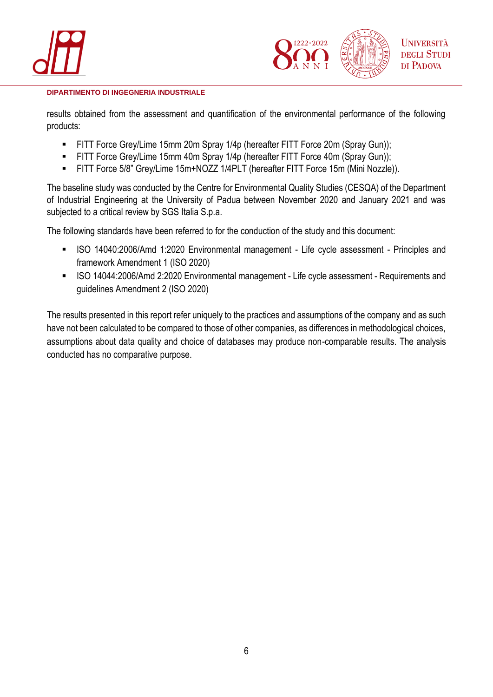



results obtained from the assessment and quantification of the environmental performance of the following products:

- FITT Force Grey/Lime 15mm 20m Spray 1/4p (hereafter FITT Force 20m (Spray Gun));
- **EXECT:** FITT Force Grey/Lime 15mm 40m Spray 1/4p (hereafter FITT Force 40m (Spray Gun));
- FITT Force 5/8" Grey/Lime 15m+NOZZ 1/4PLT (hereafter FITT Force 15m (Mini Nozzle)).

The baseline study was conducted by the Centre for Environmental Quality Studies (CESQA) of the Department of Industrial Engineering at the University of Padua between November 2020 and January 2021 and was subjected to a critical review by SGS Italia S.p.a.

The following standards have been referred to for the conduction of the study and this document:

- ISO 14040:2006/Amd 1:2020 Environmental management Life cycle assessment Principles and framework Amendment 1 (ISO 2020)
- ISO 14044:2006/Amd 2:2020 Environmental management Life cycle assessment Requirements and guidelines Amendment 2 (ISO 2020)

The results presented in this report refer uniquely to the practices and assumptions of the company and as such have not been calculated to be compared to those of other companies, as differences in methodological choices, assumptions about data quality and choice of databases may produce non-comparable results. The analysis conducted has no comparative purpose.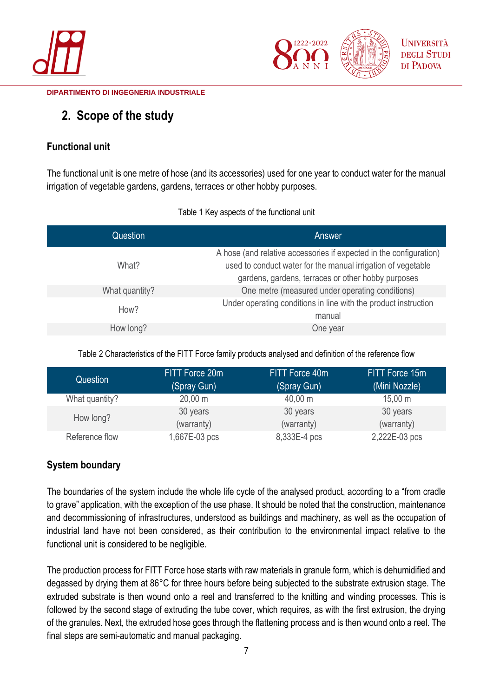



# <span id="page-6-0"></span>**2. Scope of the study**

# <span id="page-6-1"></span>**Functional unit**

The functional unit is one metre of hose (and its accessories) used for one year to conduct water for the manual irrigation of vegetable gardens, gardens, terraces or other hobby purposes.

| Question       | Answer                                                                                                                                                                                   |
|----------------|------------------------------------------------------------------------------------------------------------------------------------------------------------------------------------------|
| What?          | A hose (and relative accessories if expected in the configuration)<br>used to conduct water for the manual irrigation of vegetable<br>gardens, gardens, terraces or other hobby purposes |
| What quantity? | One metre (measured under operating conditions)                                                                                                                                          |
| How?           | Under operating conditions in line with the product instruction<br>manual                                                                                                                |
| How long?      | One year                                                                                                                                                                                 |

Table 1 Key aspects of the functional unit

Table 2 Characteristics of the FITT Force family products analysed and definition of the reference flow

| Question       | FITT Force 20m      | FITT Force 40m      | FITT Force 15m      |
|----------------|---------------------|---------------------|---------------------|
|                | (Spray Gun)         | (Spray Gun)         | (Mini Nozzle)       |
| What quantity? | $20,00 \, \text{m}$ | $40,00 \; \text{m}$ | $15,00 \; \text{m}$ |
| How long?      | 30 years            | 30 years            | 30 years            |
|                | (warranty)          | (warranty)          | (warranty)          |
| Reference flow | 1,667E-03 pcs       | 8,333E-4 pcs        | 2,222E-03 pcs       |

# <span id="page-6-2"></span>**System boundary**

The boundaries of the system include the whole life cycle of the analysed product, according to a "from cradle to grave" application, with the exception of the use phase. It should be noted that the construction, maintenance and decommissioning of infrastructures, understood as buildings and machinery, as well as the occupation of industrial land have not been considered, as their contribution to the environmental impact relative to the functional unit is considered to be negligible.

The production process for FITT Force hose starts with raw materials in granule form, which is dehumidified and degassed by drying them at 86°C for three hours before being subjected to the substrate extrusion stage. The extruded substrate is then wound onto a reel and transferred to the knitting and winding processes. This is followed by the second stage of extruding the tube cover, which requires, as with the first extrusion, the drying of the granules. Next, the extruded hose goes through the flattening process and is then wound onto a reel. The final steps are semi-automatic and manual packaging.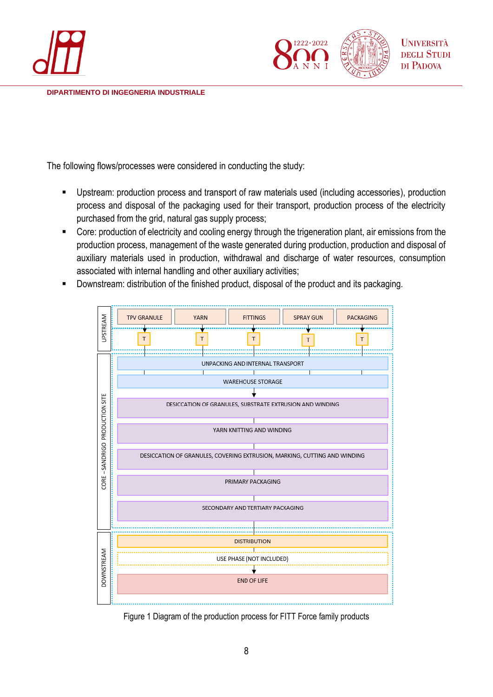



The following flows/processes were considered in conducting the study:

- Upstream: production process and transport of raw materials used (including accessories), production process and disposal of the packaging used for their transport, production process of the electricity purchased from the grid, natural gas supply process;
- Core: production of electricity and cooling energy through the trigeneration plant, air emissions from the production process, management of the waste generated during production, production and disposal of auxiliary materials used in production, withdrawal and discharge of water resources, consumption associated with internal handling and other auxiliary activities;
- Downstream: distribution of the finished product, disposal of the product and its packaging.



Figure 1 Diagram of the production process for FITT Force family products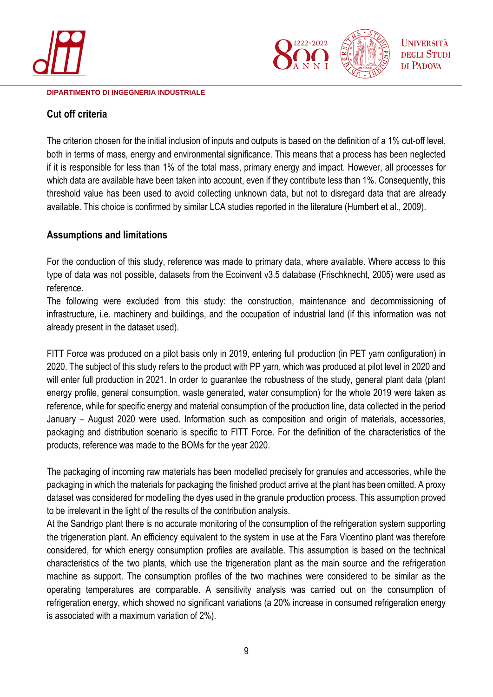



### <span id="page-8-0"></span>**Cut off criteria**

The criterion chosen for the initial inclusion of inputs and outputs is based on the definition of a 1% cut-off level, both in terms of mass, energy and environmental significance. This means that a process has been neglected if it is responsible for less than 1% of the total mass, primary energy and impact. However, all processes for which data are available have been taken into account, even if they contribute less than 1%. Consequently, this threshold value has been used to avoid collecting unknown data, but not to disregard data that are already available. This choice is confirmed by similar LCA studies reported in the literature (Humbert et al., 2009).

### <span id="page-8-1"></span>**Assumptions and limitations**

For the conduction of this study, reference was made to primary data, where available. Where access to this type of data was not possible, datasets from the Ecoinvent v3.5 database (Frischknecht, 2005) were used as reference.

The following were excluded from this study: the construction, maintenance and decommissioning of infrastructure, i.e. machinery and buildings, and the occupation of industrial land (if this information was not already present in the dataset used).

FITT Force was produced on a pilot basis only in 2019, entering full production (in PET yarn configuration) in 2020. The subject of this study refers to the product with PP yarn, which was produced at pilot level in 2020 and will enter full production in 2021. In order to guarantee the robustness of the study, general plant data (plant energy profile, general consumption, waste generated, water consumption) for the whole 2019 were taken as reference, while for specific energy and material consumption of the production line, data collected in the period January – August 2020 were used. Information such as composition and origin of materials, accessories, packaging and distribution scenario is specific to FITT Force. For the definition of the characteristics of the products, reference was made to the BOMs for the year 2020.

The packaging of incoming raw materials has been modelled precisely for granules and accessories, while the packaging in which the materials for packaging the finished product arrive at the plant has been omitted. A proxy dataset was considered for modelling the dyes used in the granule production process. This assumption proved to be irrelevant in the light of the results of the contribution analysis.

At the Sandrigo plant there is no accurate monitoring of the consumption of the refrigeration system supporting the trigeneration plant. An efficiency equivalent to the system in use at the Fara Vicentino plant was therefore considered, for which energy consumption profiles are available. This assumption is based on the technical characteristics of the two plants, which use the trigeneration plant as the main source and the refrigeration machine as support. The consumption profiles of the two machines were considered to be similar as the operating temperatures are comparable. A sensitivity analysis was carried out on the consumption of refrigeration energy, which showed no significant variations (a 20% increase in consumed refrigeration energy is associated with a maximum variation of 2%).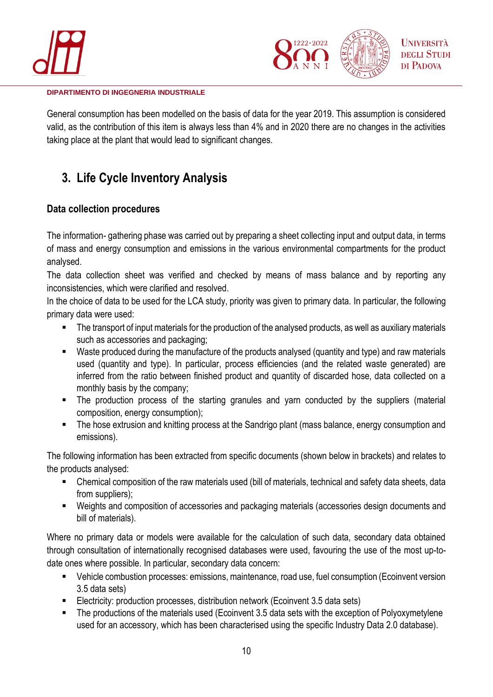



General consumption has been modelled on the basis of data for the year 2019. This assumption is considered valid, as the contribution of this item is always less than 4% and in 2020 there are no changes in the activities taking place at the plant that would lead to significant changes.

# <span id="page-9-0"></span>**3. Life Cycle Inventory Analysis**

# <span id="page-9-1"></span>**Data collection procedures**

The information- gathering phase was carried out by preparing a sheet collecting input and output data, in terms of mass and energy consumption and emissions in the various environmental compartments for the product analysed.

The data collection sheet was verified and checked by means of mass balance and by reporting any inconsistencies, which were clarified and resolved.

In the choice of data to be used for the LCA study, priority was given to primary data. In particular, the following primary data were used:

- The transport of input materials for the production of the analysed products, as well as auxiliary materials such as accessories and packaging;
- Waste produced during the manufacture of the products analysed (quantity and type) and raw materials used (quantity and type). In particular, process efficiencies (and the related waste generated) are inferred from the ratio between finished product and quantity of discarded hose, data collected on a monthly basis by the company;
- **.** The production process of the starting granules and yarn conducted by the suppliers (material composition, energy consumption);
- The hose extrusion and knitting process at the Sandrigo plant (mass balance, energy consumption and emissions).

The following information has been extracted from specific documents (shown below in brackets) and relates to the products analysed:

- Chemical composition of the raw materials used (bill of materials, technical and safety data sheets, data from suppliers):
- Weights and composition of accessories and packaging materials (accessories design documents and bill of materials).

Where no primary data or models were available for the calculation of such data, secondary data obtained through consultation of internationally recognised databases were used, favouring the use of the most up-todate ones where possible. In particular, secondary data concern:

- Vehicle combustion processes: emissions, maintenance, road use, fuel consumption (Ecoinvent version) 3.5 data sets)
- Electricity: production processes, distribution network (Ecoinvent 3.5 data sets)
- The productions of the materials used (Ecoinvent 3.5 data sets with the exception of Polyoxymetylene used for an accessory, which has been characterised using the specific Industry Data 2.0 database).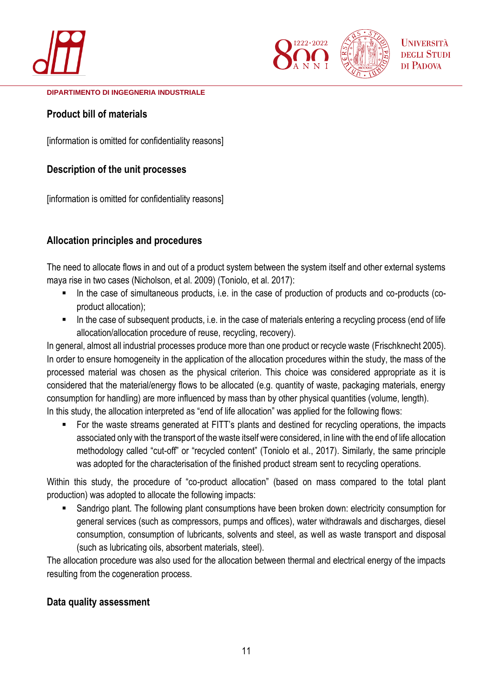



## <span id="page-10-0"></span>**Product bill of materials**

[information is omitted for confidentiality reasons]

# <span id="page-10-1"></span>**Description of the unit processes**

[information is omitted for confidentiality reasons]

# <span id="page-10-2"></span>**Allocation principles and procedures**

The need to allocate flows in and out of a product system between the system itself and other external systems maya rise in two cases (Nicholson, et al. 2009) (Toniolo, et al. 2017):

- In the case of simultaneous products, i.e. in the case of production of products and co-products (coproduct allocation);
- In the case of subsequent products, i.e. in the case of materials entering a recycling process (end of life allocation/allocation procedure of reuse, recycling, recovery).

In general, almost all industrial processes produce more than one product or recycle waste (Frischknecht 2005). In order to ensure homogeneity in the application of the allocation procedures within the study, the mass of the processed material was chosen as the physical criterion. This choice was considered appropriate as it is considered that the material/energy flows to be allocated (e.g. quantity of waste, packaging materials, energy consumption for handling) are more influenced by mass than by other physical quantities (volume, length).

In this study, the allocation interpreted as "end of life allocation" was applied for the following flows:

■ For the waste streams generated at FITT's plants and destined for recycling operations, the impacts associated only with the transport of the waste itself were considered, in line with the end of life allocation methodology called "cut-off" or "recycled content" (Toniolo et al., 2017). Similarly, the same principle was adopted for the characterisation of the finished product stream sent to recycling operations.

Within this study, the procedure of "co-product allocation" (based on mass compared to the total plant production) was adopted to allocate the following impacts:

■ Sandrigo plant. The following plant consumptions have been broken down: electricity consumption for general services (such as compressors, pumps and offices), water withdrawals and discharges, diesel consumption, consumption of lubricants, solvents and steel, as well as waste transport and disposal (such as lubricating oils, absorbent materials, steel).

The allocation procedure was also used for the allocation between thermal and electrical energy of the impacts resulting from the cogeneration process.

## <span id="page-10-3"></span>**Data quality assessment**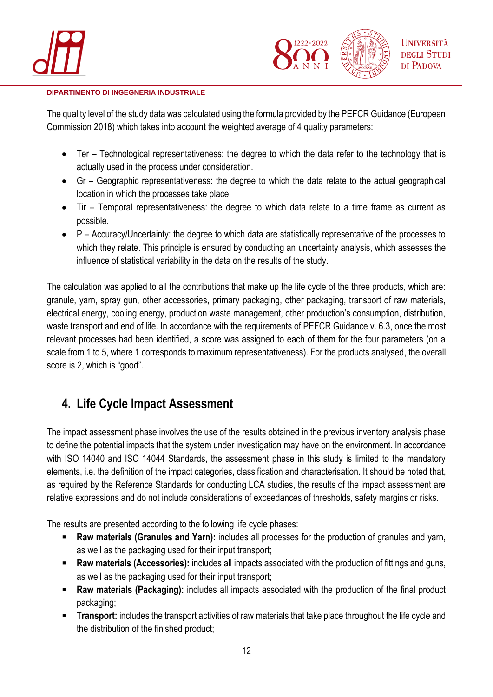



The quality level of the study data was calculated using the formula provided by the PEFCR Guidance (European Commission 2018) which takes into account the weighted average of 4 quality parameters:

- Ter Technological representativeness: the degree to which the data refer to the technology that is actually used in the process under consideration.
- Gr Geographic representativeness: the degree to which the data relate to the actual geographical location in which the processes take place.
- Tir Temporal representativeness: the degree to which data relate to a time frame as current as possible.
- P Accuracy/Uncertainty: the degree to which data are statistically representative of the processes to which they relate. This principle is ensured by conducting an uncertainty analysis, which assesses the influence of statistical variability in the data on the results of the study.

The calculation was applied to all the contributions that make up the life cycle of the three products, which are: granule, yarn, spray gun, other accessories, primary packaging, other packaging, transport of raw materials, electrical energy, cooling energy, production waste management, other production's consumption, distribution, waste transport and end of life. In accordance with the requirements of PEFCR Guidance v. 6.3, once the most relevant processes had been identified, a score was assigned to each of them for the four parameters (on a scale from 1 to 5, where 1 corresponds to maximum representativeness). For the products analysed, the overall score is 2, which is "good".

# <span id="page-11-0"></span>**4. Life Cycle Impact Assessment**

The impact assessment phase involves the use of the results obtained in the previous inventory analysis phase to define the potential impacts that the system under investigation may have on the environment. In accordance with ISO 14040 and ISO 14044 Standards, the assessment phase in this study is limited to the mandatory elements, i.e. the definition of the impact categories, classification and characterisation. It should be noted that, as required by the Reference Standards for conducting LCA studies, the results of the impact assessment are relative expressions and do not include considerations of exceedances of thresholds, safety margins or risks.

The results are presented according to the following life cycle phases:

- **EXECT:** Raw materials (Granules and Yarn): includes all processes for the production of granules and yarn, as well as the packaging used for their input transport;
- **Raw materials (Accessories):** includes all impacts associated with the production of fittings and guns, as well as the packaging used for their input transport;
- **Raw materials (Packaging):** includes all impacts associated with the production of the final product packaging;
- **Transport:** includes the transport activities of raw materials that take place throughout the life cycle and the distribution of the finished product;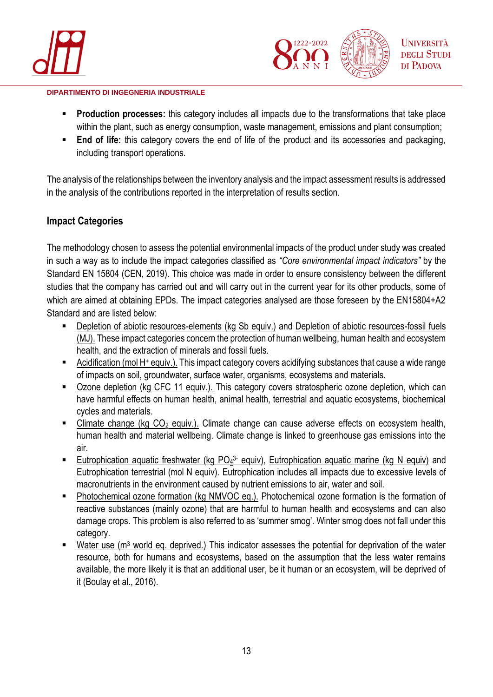



- **Production processes:** this category includes all impacts due to the transformations that take place within the plant, such as energy consumption, waste management, emissions and plant consumption;
- **End of life:** this category covers the end of life of the product and its accessories and packaging, including transport operations.

The analysis of the relationships between the inventory analysis and the impact assessment results is addressed in the analysis of the contributions reported in the interpretation of results section.

## <span id="page-12-0"></span>**Impact Categories**

The methodology chosen to assess the potential environmental impacts of the product under study was created in such a way as to include the impact categories classified as *"Core environmental impact indicators"* by the Standard EN 15804 (CEN, 2019). This choice was made in order to ensure consistency between the different studies that the company has carried out and will carry out in the current year for its other products, some of which are aimed at obtaining EPDs. The impact categories analysed are those foreseen by the EN15804+A2 Standard and are listed below:

- Depletion of abiotic resources-elements (kg Sb equiv.) and Depletion of abiotic resources-fossil fuels (MJ). These impact categories concern the protection of human wellbeing, human health and ecosystem health, and the extraction of minerals and fossil fuels.
- Acidification (mol H+ equiv.). This impact category covers acidifying substances that cause a wide range of impacts on soil, groundwater, surface water, organisms, ecosystems and materials.
- Ozone depletion (kg CFC 11 equiv.). This category covers stratospheric ozone depletion, which can have harmful effects on human health, animal health, terrestrial and aquatic ecosystems, biochemical cycles and materials.
- Climate change (kg CO<sub>2</sub> equiv.). Climate change can cause adverse effects on ecosystem health, human health and material wellbeing. Climate change is linked to greenhouse gas emissions into the air.
- **Eutrophication aquatic freshwater (kg PO<sub>4</sub>3- equiv), Eutrophication aquatic marine (kg N equiv)** and Eutrophication terrestrial (mol N equiv). Eutrophication includes all impacts due to excessive levels of macronutrients in the environment caused by nutrient emissions to air, water and soil.
- Photochemical ozone formation (kg NMVOC eq.). Photochemical ozone formation is the formation of reactive substances (mainly ozone) that are harmful to human health and ecosystems and can also damage crops. This problem is also referred to as 'summer smog'. Winter smog does not fall under this category.
- Water use (m<sup>3</sup> world eq. deprived.) This indicator assesses the potential for deprivation of the water resource, both for humans and ecosystems, based on the assumption that the less water remains available, the more likely it is that an additional user, be it human or an ecosystem, will be deprived of it (Boulay et al., 2016).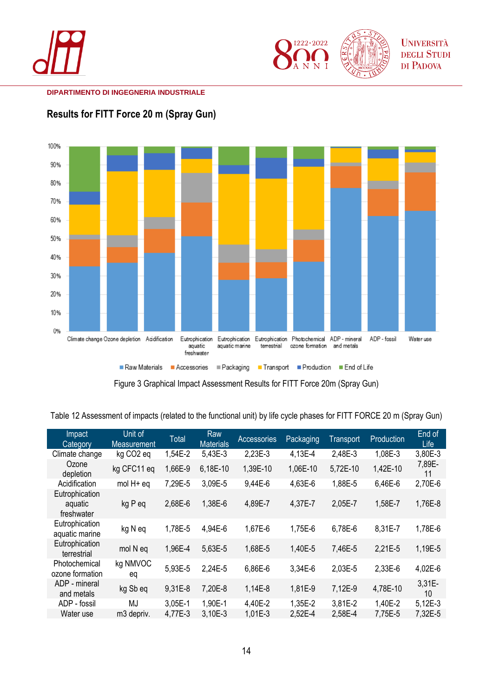







Figure 3 Graphical Impact Assessment Results for FITT Force 20m (Spray Gun)

Table 12 Assessment of impacts (related to the functional unit) by life cycle phases for FITT FORCE 20 m (Spray Gun)

| Impact<br>Category                      | Unit of<br><b>Measurement</b> | <b>Total</b> | Raw<br><b>Materials</b> | Accessories | Packaging | Transport | Production | End of<br>Life |
|-----------------------------------------|-------------------------------|--------------|-------------------------|-------------|-----------|-----------|------------|----------------|
| Climate change                          | kg CO <sub>2</sub> eq         | 1,54E-2      | 5,43E-3                 | 2,23E-3     | 4,13E-4   | 2,48E-3   | 1,08E-3    | 3,80E-3        |
| Ozone<br>depletion                      | kg CFC11 eq                   | 1,66E-9      | 6,18E-10                | 1,39E-10    | 1,06E-10  | 5,72E-10  | 1,42E-10   | 7,89E-<br>11   |
| Acidification                           | mol H+ eq                     | 7,29E-5      | 3,09E-5                 | 9,44E-6     | 4,63E-6   | 1,88E-5   | 6,46E-6    | 2,70E-6        |
| Eutrophication<br>aquatic<br>freshwater | kg P eq                       | 2,68E-6      | 1,38E-6                 | 4,89E-7     | 4,37E-7   | 2,05E-7   | 1,58E-7    | 1,76E-8        |
| Eutrophication<br>aquatic marine        | kg N eq                       | 1,78E-5      | 4,94E-6                 | 1,67E-6     | 1,75E-6   | 6,78E-6   | 8,31E-7    | 1,78E-6        |
| Eutrophication<br>terrestrial           | mol N eq                      | 1,96E-4      | 5,63E-5                 | 1,68E-5     | 1,40E-5   | 7,46E-5   | 2,21E-5    | 1,19E-5        |
| Photochemical<br>ozone formation        | kg NMVOC<br>eq                | 5,93E-5      | 2,24E-5                 | 6,86E-6     | 3,34E-6   | 2,03E-5   | 2,33E-6    | 4,02E-6        |
| ADP - mineral<br>and metals             | kg Sb eq                      | 9,31E-8      | 7,20E-8                 | 1,14E-8     | 1,81E-9   | 7,12E-9   | 4,78E-10   | 3,31E-<br>10   |
| ADP - fossil                            | MJ                            | 3,05E-1      | 1,90E-1                 | 4,40E-2     | 1,35E-2   | 3,81E-2   | 1,40E-2    | $5,12E-3$      |
| Water use                               | m3 depriv.                    | 4,77E-3      | 3,10E-3                 | 1,01E-3     | 2,52E-4   | 2,58E-4   | 7,75E-5    | 7,32E-5        |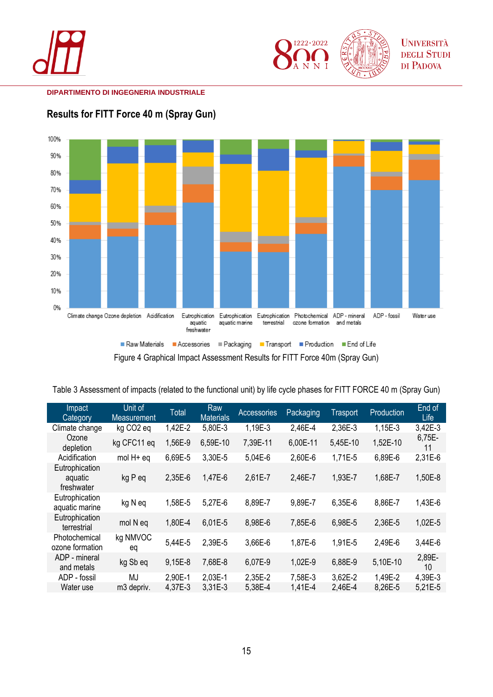





<span id="page-14-0"></span>**Results for FITT Force 40 m (Spray Gun)**

Figure 4 Graphical Impact Assessment Results for FITT Force 40m (Spray Gun)

| Table 3 Assessment of impacts (related to the functional unit) by life cycle phases for FITT FORCE 40 m (Spray Gun) |  |  |  |
|---------------------------------------------------------------------------------------------------------------------|--|--|--|
|---------------------------------------------------------------------------------------------------------------------|--|--|--|

| Impact<br>Category                      | Unit of<br><b>Measurement</b> | <b>Total</b> | Raw<br><b>Materials</b> | Accessories | Packaging | <b>Trasport</b> | Production | End of<br>Life            |
|-----------------------------------------|-------------------------------|--------------|-------------------------|-------------|-----------|-----------------|------------|---------------------------|
| Climate change                          | kg CO <sub>2</sub> eq         | 1,42E-2      | 5,80E-3                 | 1,19E-3     | 2,46E-4   | 2,36E-3         | 1,15E-3    | 3,42E-3                   |
| Ozone<br>depletion                      | kg CFC11 eq                   | 1,56E-9      | 6,59E-10                | 7,39E-11    | 6,00E-11  | 5,45E-10        | 1,52E-10   | 6,75E-<br>11              |
| Acidification                           | mol H+ eq                     | 6,69E-5      | 3,30E-5                 | 5,04E-6     | 2,60E-6   | 1,71E-5         | 6,89E-6    | 2,31E-6                   |
| Eutrophication<br>aquatic<br>freshwater | kg P eq                       | 2,35E-6      | 1,47E-6                 | 2,61E-7     | 2,46E-7   | 1,93E-7         | 1,68E-7    | 1,50E-8                   |
| Eutrophication<br>aquatic marine        | kg N eq                       | 1,58E-5      | 5,27E-6                 | 8,89E-7     | 9,89E-7   | 6,35E-6         | 8,86E-7    | 1,43E-6                   |
| Eutrophication<br>terrestrial           | mol N eq                      | 1,80E-4      | 6,01E-5                 | 8,98E-6     | 7,85E-6   | 6,98E-5         | 2,36E-5    | 1,02E-5                   |
| Photochemical<br>ozone formation        | kg NMVOC<br>eq                | 5,44E-5      | 2,39E-5                 | 3,66E-6     | 1,87E-6   | 1,91E-5         | 2,49E-6    | 3,44E-6                   |
| ADP - mineral<br>and metals             | kg Sb eq                      | 9,15E-8      | 7,68E-8                 | 6,07E-9     | 1,02E-9   | 6,88E-9         | 5,10E-10   | 2,89E-<br>10 <sup>1</sup> |
| ADP - fossil                            | MJ                            | 2,90E-1      | 2,03E-1                 | 2,35E-2     | 7,58E-3   | 3,62E-2         | 1,49E-2    | 4,39E-3                   |
| Water use                               | m3 depriv.                    | 4,37E-3      | 3,31E-3                 | 5,38E-4     | 1,41E-4   | 2,46E-4         | 8,26E-5    | 5,21E-5                   |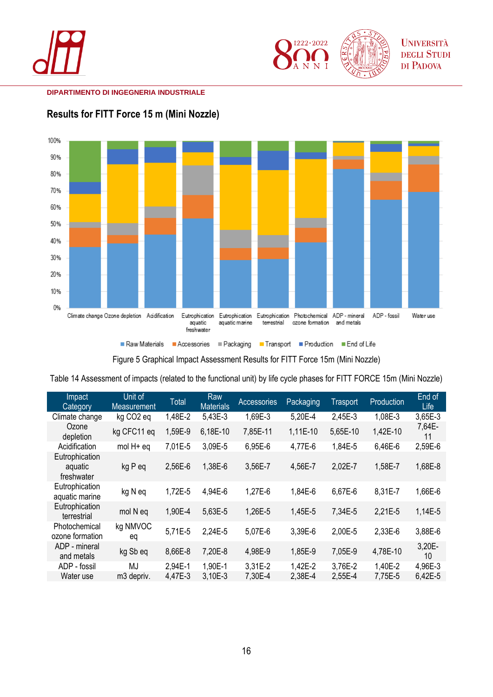





<span id="page-15-0"></span>**Results for FITT Force 15 m (Mini Nozzle)**

Figure 5 Graphical Impact Assessment Results for FITT Force 15m (Mini Nozzle)

Table 14 Assessment of impacts (related to the functional unit) by life cycle phases for FITT FORCE 15m (Mini Nozzle)

| Impact<br>Category                      | Unit of<br>Measurement | <b>Total</b> | Raw<br><b>Materials</b> | <b>Accessories</b> | Packaging | <b>Trasport</b> | Production | End of<br>Life            |
|-----------------------------------------|------------------------|--------------|-------------------------|--------------------|-----------|-----------------|------------|---------------------------|
| Climate change                          | kg CO <sub>2</sub> eq  | 1,48E-2      | 5,43E-3                 | 1,69E-3            | 5,20E-4   | 2,45E-3         | 1,08E-3    | 3,65E-3                   |
| Ozone<br>depletion                      | kg CFC11 eq            | 1,59E-9      | 6,18E-10                | 7,85E-11           | 1,11E-10  | 5,65E-10        | 1,42E-10   | 7,64E-<br>11              |
| Acidification                           | mol H+ eq              | 7,01E-5      | 3,09E-5                 | 6,95E-6            | 4,77E-6   | 1,84E-5         | 6,46E-6    | 2,59E-6                   |
| Eutrophication<br>aquatic<br>freshwater | kg P eq                | 2,56E-6      | 1,38E-6                 | 3,56E-7            | 4,56E-7   | 2,02E-7         | 1,58E-7    | 1,68E-8                   |
| Eutrophication<br>aquatic marine        | kg N eq                | 1,72E-5      | 4,94E-6                 | 1,27E-6            | 1,84E-6   | 6,67E-6         | 8,31E-7    | 1,66E-6                   |
| Eutrophication<br>terrestrial           | mol N eq               | 1,90E-4      | 5,63E-5                 | 1,26E-5            | 1,45E-5   | 7,34E-5         | 2,21E-5    | 1,14E-5                   |
| Photochemical<br>ozone formation        | kg NMVOC<br>eq         | 5,71E-5      | 2,24E-5                 | 5,07E-6            | 3,39E-6   | 2,00E-5         | 2,33E-6    | 3,88E-6                   |
| ADP - mineral<br>and metals             | kg Sb eq               | 8,66E-8      | 7,20E-8                 | 4,98E-9            | 1,85E-9   | 7,05E-9         | 4,78E-10   | 3,20E-<br>10 <sup>1</sup> |
| ADP - fossil                            | MJ                     | 2,94E-1      | 1,90E-1                 | 3,31E-2            | 1,42E-2   | 3,76E-2         | 1,40E-2    | 4,96E-3                   |
| Water use                               | m3 depriv.             | 4,47E-3      | 3,10E-3                 | 7,30E-4            | 2,38E-4   | 2,55E-4         | 7,75E-5    | 6,42E-5                   |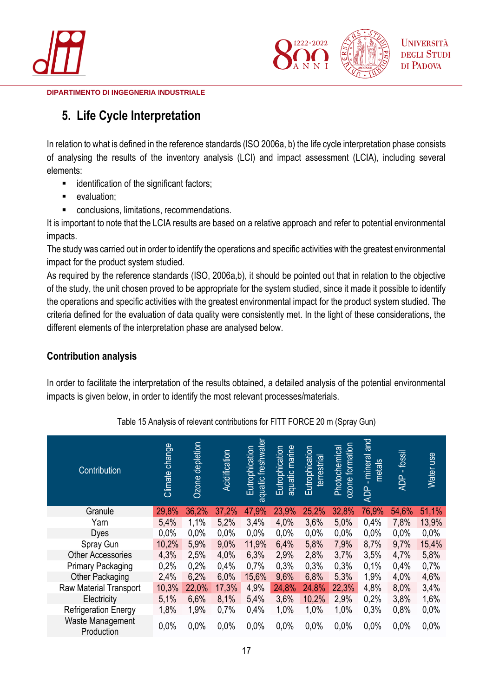



# <span id="page-16-0"></span>**5. Life Cycle Interpretation**

In relation to what is defined in the reference standards (ISO 2006a, b) the life cycle interpretation phase consists of analysing the results of the inventory analysis (LCI) and impact assessment (LCIA), including several elements:

- identification of the significant factors;
- evaluation:
- conclusions, limitations, recommendations.

It is important to note that the LCIA results are based on a relative approach and refer to potential environmental impacts.

The study was carried out in order to identify the operations and specific activities with the greatest environmental impact for the product system studied.

As required by the reference standards (ISO, 2006a,b), it should be pointed out that in relation to the objective of the study, the unit chosen proved to be appropriate for the system studied, since it made it possible to identify the operations and specific activities with the greatest environmental impact for the product system studied. The criteria defined for the evaluation of data quality were consistently met. In the light of these considerations, the different elements of the interpretation phase are analysed below.

# <span id="page-16-1"></span>**Contribution analysis**

In order to facilitate the interpretation of the results obtained, a detailed analysis of the potential environmental impacts is given below, in order to identify the most relevant processes/materials.

| Contribution                   | change<br>Climate | Ozone depletion | Acidification | aquatic freshwater<br>Eutrophication | aquatic marine<br>Eutrophication | Eutrophication<br>terrestrial | formation<br>Photochemical<br>ozone <sup>-</sup> | and<br>- mineral<br>metals<br><b>ADP</b> | fossil<br>$\mathbf{L}$<br><b>ADP</b> | Water use |
|--------------------------------|-------------------|-----------------|---------------|--------------------------------------|----------------------------------|-------------------------------|--------------------------------------------------|------------------------------------------|--------------------------------------|-----------|
| Granule                        | 29,8%             | 36,2%           | 37,2%         | 47,9%                                | 23,9%                            | 25,2%                         | 32,8%                                            | 76,9%                                    | 54,6%                                | 51,1%     |
| Yarn                           | 5,4%              | 1,1%            | 5,2%          | 3,4%                                 | 4,0%                             | 3,6%                          | 5,0%                                             | 0,4%                                     | 7,8%                                 | 13,9%     |
| <b>Dyes</b>                    | 0,0%              | 0,0%            | 0,0%          | 0,0%                                 | 0,0%                             | 0,0%                          | 0,0%                                             | 0,0%                                     | 0,0%                                 | 0,0%      |
| Spray Gun                      | 10,2%             | 5,9%            | 9,0%          | 11,9%                                | 6,4%                             | 5,8%                          | 7,9%                                             | 8,7%                                     | 9,7%                                 | 15,4%     |
| <b>Other Accessories</b>       | 4,3%              | 2,5%            | 4,0%          | 6,3%                                 | 2,9%                             | 2,8%                          | 3,7%                                             | 3,5%                                     | 4,7%                                 | 5,8%      |
| <b>Primary Packaging</b>       | 0,2%              | 0,2%            | 0,4%          | 0,7%                                 | 0,3%                             | 0,3%                          | 0,3%                                             | 0,1%                                     | 0,4%                                 | 0,7%      |
| Other Packaging                | 2,4%              | 6,2%            | 6,0%          | 15,6%                                | 9,6%                             | 6,8%                          | 5,3%                                             | 1,9%                                     | 4,0%                                 | 4,6%      |
| Raw Material Transport         | 10,3%             | 22,0%           | 17,3%         | 4,9%                                 | 24,8%                            | 24,8%                         | 22,3%                                            | 4,8%                                     | 8,0%                                 | 3,4%      |
| Electricity                    | 5,1%              | 6,6%            | 8,1%          | 5,4%                                 | 3,6%                             | 10,2%                         | 2,9%                                             | 0,2%                                     | 3,8%                                 | 1,6%      |
| <b>Refrigeration Energy</b>    | 1,8%              | 1,9%            | 0,7%          | 0,4%                                 | 1,0%                             | 1,0%                          | 1,0%                                             | 0,3%                                     | 0,8%                                 | 0,0%      |
| Waste Management<br>Production | 0.0%              | 0,0%            | 0,0%          | 0,0%                                 | 0,0%                             | 0,0%                          | 0,0%                                             | 0,0%                                     | 0,0%                                 | 0,0%      |

Table 15 Analysis of relevant contributions for FITT FORCE 20 m (Spray Gun)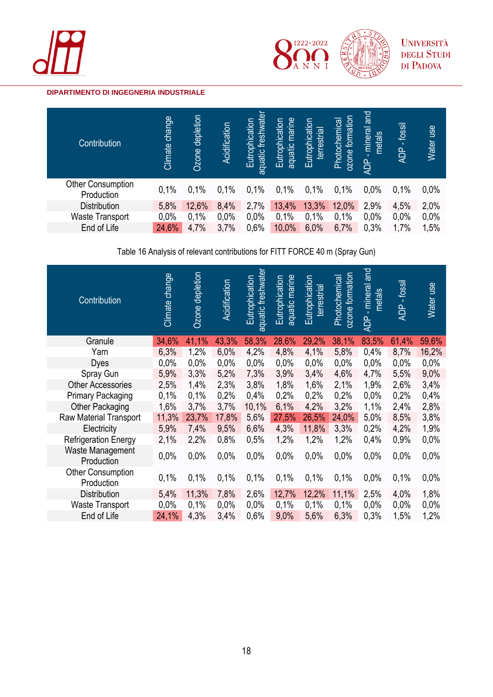





| Contribution                           | Climate change | Ozone depletion | Acidification | freshwater<br>Eutrophication<br>aquatic | aquatic marine<br>Eutrophication | Eutrophication<br>terrestrial | formation<br>Photochemical<br>ozone | <b>and</b><br>mineral<br>metals<br>×.<br><b>ADP</b> | fossil<br>ADP | Water use |
|----------------------------------------|----------------|-----------------|---------------|-----------------------------------------|----------------------------------|-------------------------------|-------------------------------------|-----------------------------------------------------|---------------|-----------|
| <b>Other Consumption</b><br>Production | 0,1%           | 0,1%            | 0,1%          | 0,1%                                    | 0,1%                             | 0,1%                          | 0,1%                                | 0,0%                                                | 0,1%          | 0,0%      |
| <b>Distribution</b>                    | 5,8%           | 12,6%           | 8,4%          | 2,7%                                    | 13,4%                            | 13,3%                         | 12,0%                               | 2,9%                                                | 4,5%          | 2,0%      |
| Waste Transport                        | 0,0%           | 0,1%            | 0,0%          | 0,0%                                    | 0,1%                             | 0,1%                          | 0,1%                                | 0,0%                                                | 0,0%          | 0,0%      |
| End of Life                            | 24,6%          | 4,7%            | 3,7%          | 0,6%                                    | 10,0%                            | 6,0%                          | 6,7%                                | 0,3%                                                | 1,7%          | 1,5%      |

Table 16 Analysis of relevant contributions for FITT FORCE 40 m (Spray Gun)

|                                                                                                                | 59,6% |
|----------------------------------------------------------------------------------------------------------------|-------|
| 34,6%<br>41,1%<br>43,3%<br>58,3%<br>28,6%<br>29,2%<br>38,1%<br>83,5%<br>Granule<br>61,4%                       |       |
| 6,3%<br>1,2%<br>6,0%<br>4,8%<br>4,1%<br>5,8%<br>4,2%<br>0,4%<br>8,7%<br>Yarn                                   | 16,2% |
| 0,0%<br>0,0%<br>0,0%<br>0,0%<br>0,0%<br>0,0%<br>0,0%<br>0,0%<br>0,0%<br><b>Dyes</b>                            | 0,0%  |
| 5,9%<br>3,3%<br>5,2%<br>3,4%<br>4,6%<br>7,3%<br>3,9%<br>4,7%<br>5,5%<br>Spray Gun                              | 9,0%  |
| 1,8%<br>2,5%<br>1,4%<br>2,3%<br>3,8%<br>1,6%<br>2,1%<br>1,9%<br>2,6%<br><b>Other Accessories</b>               | 3,4%  |
| 0,2%<br>0,2%<br>0,1%<br>0,1%<br>0,2%<br>0,2%<br>0,2%<br><b>Primary Packaging</b><br>0,4%<br>0,0%               | 0,4%  |
| 1,6%<br>3,7%<br>10,1%<br>6,1%<br>4,2%<br>3,2%<br>3,7%<br>1,1%<br>2,4%<br>Other Packaging                       | 2,8%  |
| 11,3%<br>24,0%<br>8,5%<br>23,7%<br>17,8%<br>5,6%<br>27,5%<br>26,5%<br>5,0%<br><b>Raw Material Transport</b>    | 3,8%  |
| Electricity<br>5,9%<br>7,4%<br>4,3%<br>11,8%<br>4,2%<br>9,5%<br>6,6%<br>3,3%<br>0,2%                           | 1,9%  |
| 1,2%<br>1,2%<br>1,2%<br>0,9%<br><b>Refrigeration Energy</b><br>2,1%<br>2,2%<br>0,8%<br>0,4%<br>0,5%            | 0,0%  |
| Waste Management<br>0,0%<br>0,0%<br>0,0%<br>0,0%<br>0,0%<br>0,0%<br>0,0%<br>0,0%<br>0,0%<br>Production         | 0,0%  |
| <b>Other Consumption</b><br>0,1%<br>0,1%<br>0,1%<br>0,1%<br>0,1%<br>0,1%<br>0,1%<br>0,0%<br>0,1%<br>Production | 0,0%  |
| 5,4%<br>11,3%<br>7,8%<br>2,6%<br>12,7%<br>12,2%<br>11,1%<br><b>Distribution</b><br>2,5%<br>4,0%                | 1,8%  |
| 0,0%<br>0,1%<br>0,0%<br>0,1%<br>0,1%<br>0,1%<br><b>Waste Transport</b><br>0,0%<br>0,0%<br>0,0%                 | 0,0%  |
| End of Life<br>24,1%<br>4,3%<br>3,4%<br>0,6%<br>9,0%<br>1,2%<br>5,6%<br>6,3%<br>1,5%<br>0,3%                   |       |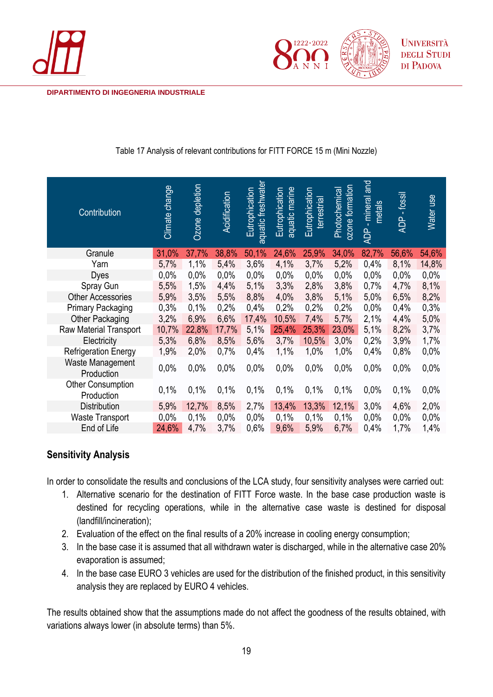



| Contribution                    | Climate change | Ozone depletion | Acidification | aquatic freshwater<br>Eutrophication | aquatic marine<br>Eutrophication | Eutrophication<br>terrestrial | ozone formation<br>Photochemical | ADP - mineral and<br>metals | $-$ fossil<br><b>ADP</b> | Water use |
|---------------------------------|----------------|-----------------|---------------|--------------------------------------|----------------------------------|-------------------------------|----------------------------------|-----------------------------|--------------------------|-----------|
| Granule                         | 31,0%          | 37,7%           | 38,8%         | 50,1%                                | 24,6%                            | 25,9%                         | 34,0%                            | 82,7%                       | 56,6%                    | 54,6%     |
| Yarn                            | 5,7%           | 1,1%            | 5,4%          | 3,6%                                 | 4,1%                             | 3,7%                          | 5,2%                             | 0,4%                        | 8,1%                     | 14,8%     |
| Dyes                            | 0,0%           | 0,0%            | 0,0%          | 0,0%                                 | 0,0%                             | 0,0%                          | 0,0%                             | 0,0%                        | 0,0%                     | 0,0%      |
| Spray Gun                       | 5,5%           | 1,5%            | 4,4%          | 5,1%                                 | 3,3%                             | 2,8%                          | 3,8%                             | 0,7%                        | 4,7%                     | 8,1%      |
| <b>Other Accessories</b>        | 5,9%           | 3,5%            | 5,5%          | 8,8%                                 | 4,0%                             | 3,8%                          | 5,1%                             | 5,0%                        | 6,5%                     | 8,2%      |
| <b>Primary Packaging</b>        | 0,3%           | 0,1%            | 0,2%          | 0,4%                                 | 0,2%                             | 0,2%                          | 0,2%                             | 0,0%                        | 0,4%                     | 0,3%      |
| <b>Other Packaging</b>          | 3,2%           | 6,9%            | 6,6%          | 17,4%                                | 10,5%                            | 7,4%                          | 5,7%                             | 2,1%                        | 4,4%                     | 5,0%      |
| Raw Material Transport          | 10,7%          | 22,8%           | 17,7%         | 5,1%                                 | 25,4%                            | 25,3%                         | 23,0%                            | 5,1%                        | 8,2%                     | 3,7%      |
| Electricity                     | 5,3%           | 6,8%            | 8,5%          | 5,6%                                 | 3,7%                             | 10,5%                         | 3,0%                             | 0,2%                        | 3,9%                     | 1,7%      |
| <b>Refrigeration Energy</b>     | 1,9%           | 2,0%            | 0,7%          | 0,4%                                 | 1,1%                             | 1,0%                          | 1,0%                             | 0,4%                        | 0,8%                     | 0,0%      |
| Waste Management<br>Production  | 0,0%           | 0,0%            | 0,0%          | 0,0%                                 | 0,0%                             | 0,0%                          | 0,0%                             | 0,0%                        | 0,0%                     | 0,0%      |
| Other Consumption<br>Production | 0,1%           | 0,1%            | 0,1%          | 0,1%                                 | 0,1%                             | 0,1%                          | 0,1%                             | 0,0%                        | 0,1%                     | 0,0%      |
| Distribution                    | 5,9%           | 12,7%           | 8,5%          | 2,7%                                 | 13,4%                            | 13,3%                         | 12,1%                            | 3,0%                        | 4,6%                     | 2,0%      |
| <b>Waste Transport</b>          | 0,0%           | 0,1%            | 0,0%          | 0,0%                                 | 0,1%                             | 0,1%                          | 0,1%                             | 0,0%                        | 0,0%                     | 0,0%      |
| End of Life                     | 24,6%          | 4,7%            | 3,7%          | 0,6%                                 | 9,6%                             | 5,9%                          | 6,7%                             | 0,4%                        | 1,7%                     | 1,4%      |

Table 17 Analysis of relevant contributions for FITT FORCE 15 m (Mini Nozzle)

# <span id="page-18-0"></span>**Sensitivity Analysis**

In order to consolidate the results and conclusions of the LCA study, four sensitivity analyses were carried out:

- 1. Alternative scenario for the destination of FITT Force waste. In the base case production waste is destined for recycling operations, while in the alternative case waste is destined for disposal (landfill/incineration);
- 2. Evaluation of the effect on the final results of a 20% increase in cooling energy consumption;
- 3. In the base case it is assumed that all withdrawn water is discharged, while in the alternative case 20% evaporation is assumed;
- 4. In the base case EURO 3 vehicles are used for the distribution of the finished product, in this sensitivity analysis they are replaced by EURO 4 vehicles.

The results obtained show that the assumptions made do not affect the goodness of the results obtained, with variations always lower (in absolute terms) than 5%.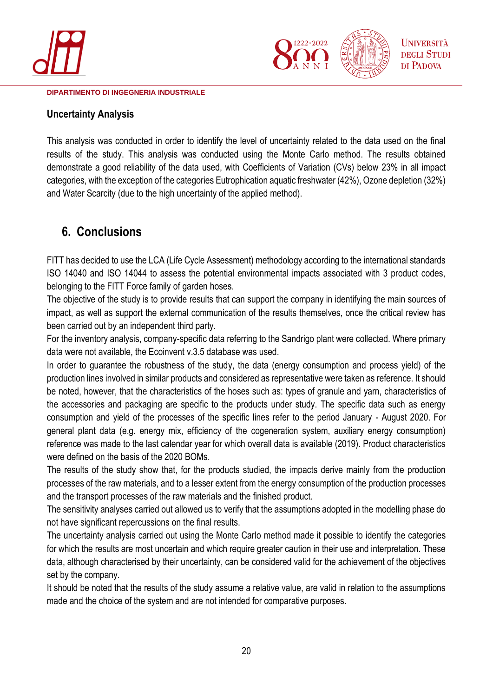



# <span id="page-19-0"></span>**Uncertainty Analysis**

This analysis was conducted in order to identify the level of uncertainty related to the data used on the final results of the study. This analysis was conducted using the Monte Carlo method. The results obtained demonstrate a good reliability of the data used, with Coefficients of Variation (CVs) below 23% in all impact categories, with the exception of the categories Eutrophication aquatic freshwater (42%), Ozone depletion (32%) and Water Scarcity (due to the high uncertainty of the applied method).

# <span id="page-19-1"></span>**6. Conclusions**

FITT has decided to use the LCA (Life Cycle Assessment) methodology according to the international standards ISO 14040 and ISO 14044 to assess the potential environmental impacts associated with 3 product codes, belonging to the FITT Force family of garden hoses.

The objective of the study is to provide results that can support the company in identifying the main sources of impact, as well as support the external communication of the results themselves, once the critical review has been carried out by an independent third party.

For the inventory analysis, company-specific data referring to the Sandrigo plant were collected. Where primary data were not available, the Ecoinvent v.3.5 database was used.

In order to guarantee the robustness of the study, the data (energy consumption and process yield) of the production lines involved in similar products and considered as representative were taken as reference. It should be noted, however, that the characteristics of the hoses such as: types of granule and yarn, characteristics of the accessories and packaging are specific to the products under study. The specific data such as energy consumption and yield of the processes of the specific lines refer to the period January - August 2020. For general plant data (e.g. energy mix, efficiency of the cogeneration system, auxiliary energy consumption) reference was made to the last calendar year for which overall data is available (2019). Product characteristics were defined on the basis of the 2020 BOMs.

The results of the study show that, for the products studied, the impacts derive mainly from the production processes of the raw materials, and to a lesser extent from the energy consumption of the production processes and the transport processes of the raw materials and the finished product.

The sensitivity analyses carried out allowed us to verify that the assumptions adopted in the modelling phase do not have significant repercussions on the final results.

The uncertainty analysis carried out using the Monte Carlo method made it possible to identify the categories for which the results are most uncertain and which require greater caution in their use and interpretation. These data, although characterised by their uncertainty, can be considered valid for the achievement of the objectives set by the company.

It should be noted that the results of the study assume a relative value, are valid in relation to the assumptions made and the choice of the system and are not intended for comparative purposes.